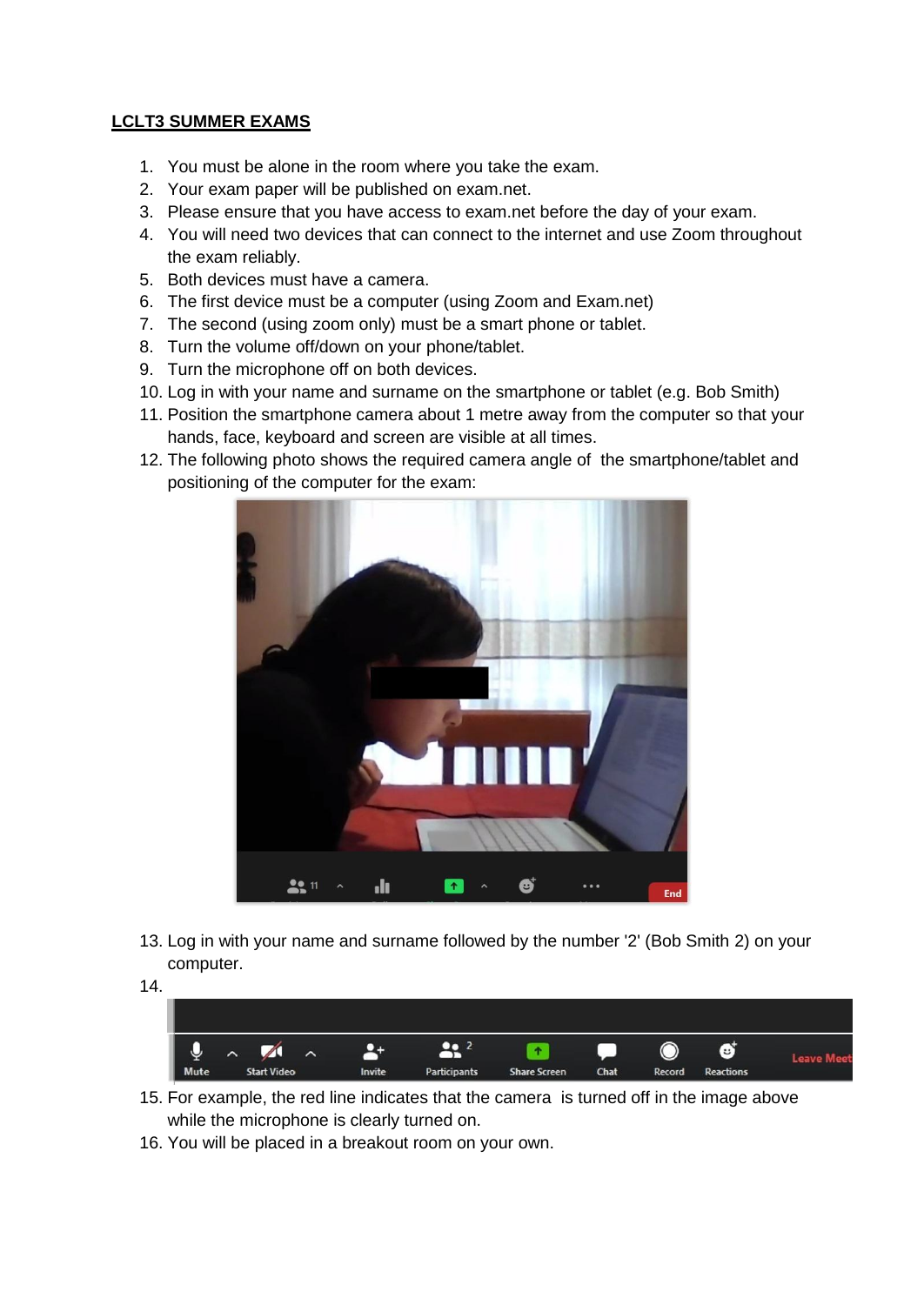## **LCLT3 SUMMER EXAMS**

- 1. You must be alone in the room where you take the exam.
- 2. Your exam paper will be published on exam.net.
- 3. Please ensure that you have access to exam.net before the day of your exam.
- 4. You will need two devices that can connect to the internet and use Zoom throughout the exam reliably.
- 5. Both devices must have a camera.
- 6. The first device must be a computer (using Zoom and Exam.net)
- 7. The second (using zoom only) must be a smart phone or tablet.
- 8. Turn the volume off/down on your phone/tablet.
- 9. Turn the microphone off on both devices.
- 10. Log in with your name and surname on the smartphone or tablet (e.g. Bob Smith)
- 11. Position the smartphone camera about 1 metre away from the computer so that your hands, face, keyboard and screen are visible at all times.
- 12. The following photo shows the required camera angle of the smartphone/tablet and positioning of the computer for the exam:



- 13. Log in with your name and surname followed by the number '2' (Bob Smith 2) on your computer.
- 14.



- 15. For example, the red line indicates that the camera is turned off in the image above while the microphone is clearly turned on.
- 16. You will be placed in a breakout room on your own.